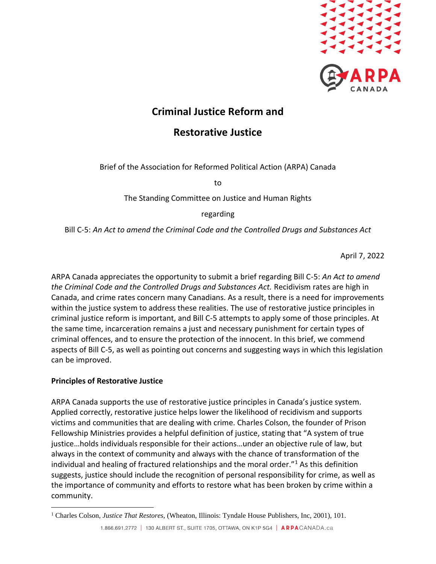

# **Criminal Justice Reform and**

## **Restorative Justice**

Brief of the Association for Reformed Political Action (ARPA) Canada

to

The Standing Committee on Justice and Human Rights

## regarding

Bill C-5: *An Act to amend the Criminal Code and the Controlled Drugs and Substances Act*

April 7, 2022

ARPA Canada appreciates the opportunity to submit a brief regarding Bill C-5: *An Act to amend the Criminal Code and the Controlled Drugs and Substances Act.* Recidivism rates are high in Canada, and crime rates concern many Canadians. As a result, there is a need for improvements within the justice system to address these realities. The use of restorative justice principles in criminal justice reform is important, and Bill C-5 attempts to apply some of those principles. At the same time, incarceration remains a just and necessary punishment for certain types of criminal offences, and to ensure the protection of the innocent. In this brief, we commend aspects of Bill C-5, as well as pointing out concerns and suggesting ways in which this legislation can be improved.

## **Principles of Restorative Justice**

ARPA Canada supports the use of restorative justice principles in Canada's justice system. Applied correctly, restorative justice helps lower the likelihood of recidivism and supports victims and communities that are dealing with crime. Charles Colson, the founder of Prison Fellowship Ministries provides a helpful definition of justice, stating that "A system of true justice…holds individuals responsible for their actions…under an objective rule of law, but always in the context of community and always with the chance of transformation of the individual and healing of fractured relationships and the moral order."<sup>1</sup> As this definition suggests, justice should include the recognition of personal responsibility for crime, as well as the importance of community and efforts to restore what has been broken by crime within a community.

<sup>&</sup>lt;sup>1</sup> Charles Colson, *Justice That Restores*, (Wheaton, Illinois: Tyndale House Publishers, Inc, 2001), 101. 1.866.691.2772 | 130 ALBERT ST., SUITE 1705, OTTAWA, ON K1P 5G4 | ARPACANADA.ca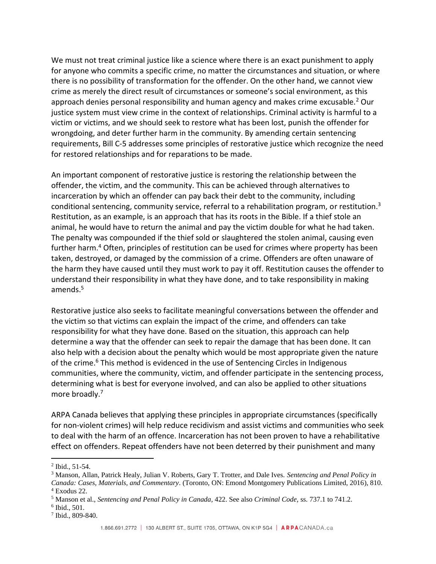We must not treat criminal justice like a science where there is an exact punishment to apply for anyone who commits a specific crime, no matter the circumstances and situation, or where there is no possibility of transformation for the offender. On the other hand, we cannot view crime as merely the direct result of circumstances or someone's social environment, as this approach denies personal responsibility and human agency and makes crime excusable. $2$  Our justice system must view crime in the context of relationships. Criminal activity is harmful to a victim or victims, and we should seek to restore what has been lost, punish the offender for wrongdoing, and deter further harm in the community. By amending certain sentencing requirements, Bill C-5 addresses some principles of restorative justice which recognize the need for restored relationships and for reparations to be made.

An important component of restorative justice is restoring the relationship between the offender, the victim, and the community. This can be achieved through alternatives to incarceration by which an offender can pay back their debt to the community, including conditional sentencing, community service, referral to a rehabilitation program, or restitution.<sup>3</sup> Restitution, as an example, is an approach that has its roots in the Bible. If a thief stole an animal, he would have to return the animal and pay the victim double for what he had taken. The penalty was compounded if the thief sold or slaughtered the stolen animal, causing even further harm.<sup>4</sup> Often, principles of restitution can be used for crimes where property has been taken, destroyed, or damaged by the commission of a crime. Offenders are often unaware of the harm they have caused until they must work to pay it off. Restitution causes the offender to understand their responsibility in what they have done, and to take responsibility in making amends.<sup>5</sup>

Restorative justice also seeks to facilitate meaningful conversations between the offender and the victim so that victims can explain the impact of the crime, and offenders can take responsibility for what they have done. Based on the situation, this approach can help determine a way that the offender can seek to repair the damage that has been done. It can also help with a decision about the penalty which would be most appropriate given the nature of the crime.<sup>6</sup> This method is evidenced in the use of Sentencing Circles in Indigenous communities, where the community, victim, and offender participate in the sentencing process, determining what is best for everyone involved, and can also be applied to other situations more broadly.<sup>7</sup>

ARPA Canada believes that applying these principles in appropriate circumstances (specifically for non-violent crimes) will help reduce recidivism and assist victims and communities who seek to deal with the harm of an offence. Incarceration has not been proven to have a rehabilitative effect on offenders. Repeat offenders have not been deterred by their punishment and many

7 Ibid., 809-840.

<sup>2</sup> Ibid., 51-54.

<sup>3</sup> Manson, Allan, Patrick Healy, Julian V. Roberts, Gary T. Trotter, and Dale Ives. *Sentencing and Penal Policy in* 

*Canada: Cases, Materials, and Commentary*. (Toronto, ON: Emond Montgomery Publications Limited, 2016), 810. <sup>4</sup> Exodus 22.

<sup>5</sup> Manson et al., *Sentencing and Penal Policy in Canada,* 422. See also *Criminal Code,* ss. 737.1 to 741.2.

<sup>6</sup> Ibid., 501.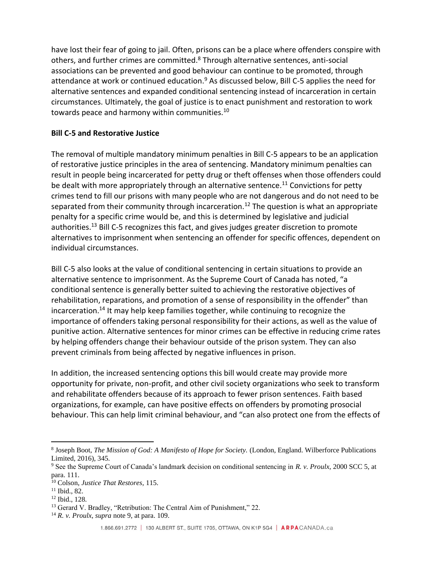have lost their fear of going to jail. Often, prisons can be a place where offenders conspire with others, and further crimes are committed.<sup>8</sup> Through alternative sentences, anti-social associations can be prevented and good behaviour can continue to be promoted, through attendance at work or continued education.<sup>9</sup> As discussed below, Bill C-5 applies the need for alternative sentences and expanded conditional sentencing instead of incarceration in certain circumstances. Ultimately, the goal of justice is to enact punishment and restoration to work towards peace and harmony within communities.<sup>10</sup>

#### **Bill C-5 and Restorative Justice**

The removal of multiple mandatory minimum penalties in Bill C-5 appears to be an application of restorative justice principles in the area of sentencing. Mandatory minimum penalties can result in people being incarcerated for petty drug or theft offenses when those offenders could be dealt with more appropriately through an alternative sentence.<sup>11</sup> Convictions for petty crimes tend to fill our prisons with many people who are not dangerous and do not need to be separated from their community through incarceration.<sup>12</sup> The question is what an appropriate penalty for a specific crime would be, and this is determined by legislative and judicial authorities.<sup>13</sup> Bill C-5 recognizes this fact, and gives judges greater discretion to promote alternatives to imprisonment when sentencing an offender for specific offences, dependent on individual circumstances.

Bill C-5 also looks at the value of conditional sentencing in certain situations to provide an alternative sentence to imprisonment. As the Supreme Court of Canada has noted, "a conditional sentence is generally better suited to achieving the restorative objectives of rehabilitation, reparations, and promotion of a sense of responsibility in the offender" than incarceration.<sup>14</sup> It may help keep families together, while continuing to recognize the importance of offenders taking personal responsibility for their actions, as well as the value of punitive action. Alternative sentences for minor crimes can be effective in reducing crime rates by helping offenders change their behaviour outside of the prison system. They can also prevent criminals from being affected by negative influences in prison.

In addition, the increased sentencing options this bill would create may provide more opportunity for private, non-profit, and other civil society organizations who seek to transform and rehabilitate offenders because of its approach to fewer prison sentences. Faith based organizations, for example, can have positive effects on offenders by promoting prosocial behaviour. This can help limit criminal behaviour, and "can also protect one from the effects of

<sup>&</sup>lt;sup>8</sup> Joseph Boot, *The Mission of God: A Manifesto of Hope for Society*. (London, England. Wilberforce Publications Limited, 2016), 345.

<sup>9</sup> See the Supreme Court of Canada's landmark decision on conditional sentencing in *R. v. Proulx,* 2000 SCC 5, at para. 111.

<sup>10</sup> Colson, *Justice That Restores,* 115.

 $11$  Ibid., 82.

<sup>12</sup> Ibid., 128.

<sup>&</sup>lt;sup>13</sup> Gerard V. Bradley, "Retribution: The Central Aim of Punishment," 22.

<sup>14</sup> *R. v. Proulx, supra* note 9, at para. 109.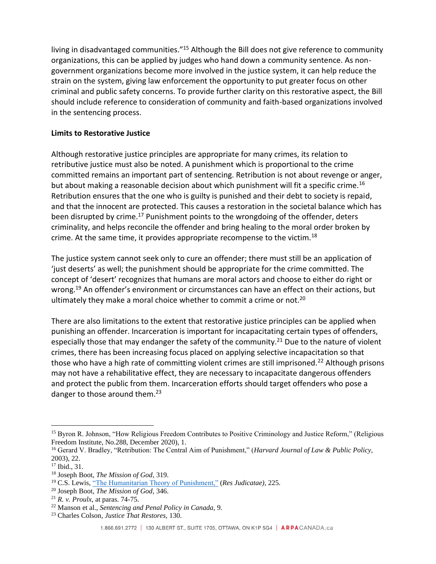living in disadvantaged communities."<sup>15</sup> Although the Bill does not give reference to community organizations, this can be applied by judges who hand down a community sentence. As nongovernment organizations become more involved in the justice system, it can help reduce the strain on the system, giving law enforcement the opportunity to put greater focus on other criminal and public safety concerns. To provide further clarity on this restorative aspect, the Bill should include reference to consideration of community and faith-based organizations involved in the sentencing process.

## **Limits to Restorative Justice**

Although restorative justice principles are appropriate for many crimes, its relation to retributive justice must also be noted. A punishment which is proportional to the crime committed remains an important part of sentencing. Retribution is not about revenge or anger, but about making a reasonable decision about which punishment will fit a specific crime.<sup>16</sup> Retribution ensures that the one who is guilty is punished and their debt to society is repaid, and that the innocent are protected. This causes a restoration in the societal balance which has been disrupted by crime.<sup>17</sup> Punishment points to the wrongdoing of the offender, deters criminality, and helps reconcile the offender and bring healing to the moral order broken by crime. At the same time, it provides appropriate recompense to the victim.<sup>18</sup>

The justice system cannot seek only to cure an offender; there must still be an application of 'just deserts' as well; the punishment should be appropriate for the crime committed. The concept of 'desert' recognizes that humans are moral actors and choose to either do right or wrong.<sup>19</sup> An offender's environment or circumstances can have an effect on their actions, but ultimately they make a moral choice whether to commit a crime or not.<sup>20</sup>

There are also limitations to the extent that restorative justice principles can be applied when punishing an offender. Incarceration is important for incapacitating certain types of offenders, especially those that may endanger the safety of the community.<sup>21</sup> Due to the nature of violent crimes, there has been increasing focus placed on applying selective incapacitation so that those who have a high rate of committing violent crimes are still imprisoned.<sup>22</sup> Although prisons may not have a rehabilitative effect, they are necessary to incapacitate dangerous offenders and protect the public from them. Incarceration efforts should target offenders who pose a danger to those around them. $^{23}$ 

<sup>&</sup>lt;sup>15</sup> Byron R. Johnson, "How Religious Freedom Contributes to Positive Criminology and Justice Reform," (Religious Freedom Institute, No.288, December 2020), 1.

<sup>16</sup> Gerard V. Bradley, "Retribution: The Central Aim of Punishment," (*Harvard Journal of Law & Public Policy,*  2003), 22.

<sup>17</sup> Ibid., 31.

<sup>18</sup> Joseph Boot, *The Mission of God,* 319.

<sup>19</sup> C.S. Lewis, ["The Humanitarian Theory of Punishment,"](http://www.austlii.edu.au/au/journals/ResJud/1954/30.pdf) (*Res Judicatae),* 225.

<sup>20</sup> Joseph Boot, *The Mission of God,* 346.

<sup>21</sup> *R. v. Proulx,* at paras. 74-75.

<sup>22</sup> Manson et al., *Sentencing and Penal Policy in Canada,* 9.

<sup>23</sup> Charles Colson, *Justice That Restores,* 130.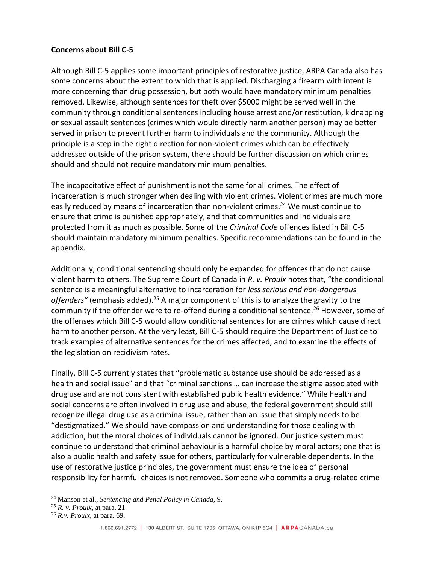#### **Concerns about Bill C-5**

Although Bill C-5 applies some important principles of restorative justice, ARPA Canada also has some concerns about the extent to which that is applied. Discharging a firearm with intent is more concerning than drug possession, but both would have mandatory minimum penalties removed. Likewise, although sentences for theft over \$5000 might be served well in the community through conditional sentences including house arrest and/or restitution, kidnapping or sexual assault sentences (crimes which would directly harm another person) may be better served in prison to prevent further harm to individuals and the community. Although the principle is a step in the right direction for non-violent crimes which can be effectively addressed outside of the prison system, there should be further discussion on which crimes should and should not require mandatory minimum penalties.

The incapacitative effect of punishment is not the same for all crimes. The effect of incarceration is much stronger when dealing with violent crimes. Violent crimes are much more easily reduced by means of incarceration than non-violent crimes.<sup>24</sup> We must continue to ensure that crime is punished appropriately, and that communities and individuals are protected from it as much as possible. Some of the *Criminal Code* offences listed in Bill C-5 should maintain mandatory minimum penalties. Specific recommendations can be found in the appendix.

Additionally, conditional sentencing should only be expanded for offences that do not cause violent harm to others. The Supreme Court of Canada in *R. v. Proulx* notes that, "the conditional sentence is a meaningful alternative to incarceration for *less serious and non-dangerous*  offenders" (emphasis added).<sup>25</sup> A major component of this is to analyze the gravity to the community if the offender were to re-offend during a conditional sentence.<sup>26</sup> However, some of the offenses which Bill C-5 would allow conditional sentences for are crimes which cause direct harm to another person. At the very least, Bill C-5 should require the Department of Justice to track examples of alternative sentences for the crimes affected, and to examine the effects of the legislation on recidivism rates.

Finally, Bill C-5 currently states that "problematic substance use should be addressed as a health and social issue" and that "criminal sanctions … can increase the stigma associated with drug use and are not consistent with established public health evidence." While health and social concerns are often involved in drug use and abuse, the federal government should still recognize illegal drug use as a criminal issue, rather than an issue that simply needs to be "destigmatized." We should have compassion and understanding for those dealing with addiction, but the moral choices of individuals cannot be ignored. Our justice system must continue to understand that criminal behaviour is a harmful choice by moral actors; one that is also a public health and safety issue for others, particularly for vulnerable dependents. In the use of restorative justice principles, the government must ensure the idea of personal responsibility for harmful choices is not removed. Someone who commits a drug-related crime

<sup>24</sup> Manson et al., *Sentencing and Penal Policy in Canada,* 9.

<sup>25</sup> *R. v. Proulx,* at para. 21.

<sup>26</sup> *R.v. Proulx,* at para. 69.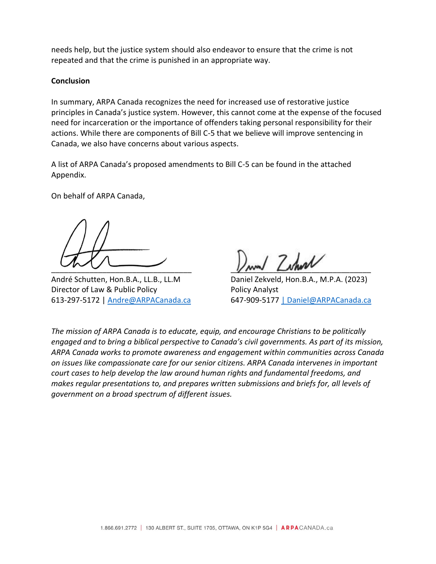needs help, but the justice system should also endeavor to ensure that the crime is not repeated and that the crime is punished in an appropriate way.

#### **Conclusion**

In summary, ARPA Canada recognizes the need for increased use of restorative justice principles in Canada's justice system. However, this cannot come at the expense of the focused need for incarceration or the importance of offenders taking personal responsibility for their actions. While there are components of Bill C-5 that we believe will improve sentencing in Canada, we also have concerns about various aspects.

A list of ARPA Canada's proposed amendments to Bill C-5 can be found in the attached Appendix.

On behalf of ARPA Canada,

André Schutten, Hon.B.A., LL.B., LL.M Daniel Zekveld, Hon.B.A., M.P.A. (2023) Director of Law & Public Policy **Policy Analyst** 

\_\_\_\_\_\_\_\_\_\_\_\_\_\_\_\_\_\_\_\_\_\_\_\_\_\_\_\_\_\_\_\_\_ \_\_\_\_\_\_\_\_\_\_\_\_\_\_\_\_\_\_\_\_\_\_\_\_\_\_\_\_\_\_\_\_\_

613-297-5172 | [Andre@ARPACanada.ca](mailto:Andre@ARPACanada.ca) 647-909-5177 [| Daniel@ARPACanada.ca](mailto:%7C%20Daniel@ARPACanada.ca)

*The mission of ARPA Canada is to educate, equip, and encourage Christians to be politically engaged and to bring a biblical perspective to Canada's civil governments. As part of its mission, ARPA Canada works to promote awareness and engagement within communities across Canada on issues like compassionate care for our senior citizens. ARPA Canada intervenes in important court cases to help develop the law around human rights and fundamental freedoms, and makes regular presentations to, and prepares written submissions and briefs for, all levels of government on a broad spectrum of different issues.*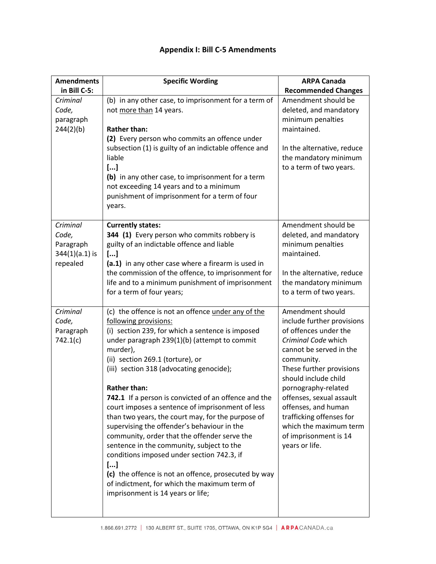| <b>Amendments</b><br>in Bill C-5:                              | <b>Specific Wording</b>                                                                                                                                                                                                                                                                                                                                                                                                                                                                                                                                                                                                                                                                                                                                                                                          | <b>ARPA Canada</b>                                                                                                                                                                                                                                                                                                                                                     |
|----------------------------------------------------------------|------------------------------------------------------------------------------------------------------------------------------------------------------------------------------------------------------------------------------------------------------------------------------------------------------------------------------------------------------------------------------------------------------------------------------------------------------------------------------------------------------------------------------------------------------------------------------------------------------------------------------------------------------------------------------------------------------------------------------------------------------------------------------------------------------------------|------------------------------------------------------------------------------------------------------------------------------------------------------------------------------------------------------------------------------------------------------------------------------------------------------------------------------------------------------------------------|
| Criminal<br>Code,<br>paragraph<br>244(2)(b)                    | (b) in any other case, to imprisonment for a term of<br>not more than 14 years.<br><b>Rather than:</b><br>(2) Every person who commits an offence under<br>subsection (1) is guilty of an indictable offence and<br>liable<br>[]<br>(b) in any other case, to imprisonment for a term<br>not exceeding 14 years and to a minimum<br>punishment of imprisonment for a term of four<br>years.                                                                                                                                                                                                                                                                                                                                                                                                                      | <b>Recommended Changes</b><br>Amendment should be<br>deleted, and mandatory<br>minimum penalties<br>maintained.<br>In the alternative, reduce<br>the mandatory minimum<br>to a term of two years.                                                                                                                                                                      |
| Criminal<br>Code,<br>Paragraph<br>$344(1)(a.1)$ is<br>repealed | <b>Currently states:</b><br>344 (1) Every person who commits robbery is<br>guilty of an indictable offence and liable<br>[]<br>(a.1) in any other case where a firearm is used in<br>the commission of the offence, to imprisonment for<br>life and to a minimum punishment of imprisonment<br>for a term of four years;                                                                                                                                                                                                                                                                                                                                                                                                                                                                                         | Amendment should be<br>deleted, and mandatory<br>minimum penalties<br>maintained.<br>In the alternative, reduce<br>the mandatory minimum<br>to a term of two years.                                                                                                                                                                                                    |
| Criminal<br>Code,<br>Paragraph<br>742.1(c)                     | (c) the offence is not an offence under any of the<br>following provisions:<br>(i) section 239, for which a sentence is imposed<br>under paragraph 239(1)(b) (attempt to commit<br>murder),<br>(ii) section 269.1 (torture), or<br>(iii) section 318 (advocating genocide);<br><b>Rather than:</b><br>742.1 If a person is convicted of an offence and the<br>court imposes a sentence of imprisonment of less<br>than two years, the court may, for the purpose of<br>supervising the offender's behaviour in the<br>community, order that the offender serve the<br>sentence in the community, subject to the<br>conditions imposed under section 742.3, if<br>[]<br>(c) the offence is not an offence, prosecuted by way<br>of indictment, for which the maximum term of<br>imprisonment is 14 years or life; | Amendment should<br>include further provisions<br>of offences under the<br>Criminal Code which<br>cannot be served in the<br>community.<br>These further provisions<br>should include child<br>pornography-related<br>offenses, sexual assault<br>offenses, and human<br>trafficking offenses for<br>which the maximum term<br>of imprisonment is 14<br>years or life. |

## **Appendix I: Bill C-5 Amendments**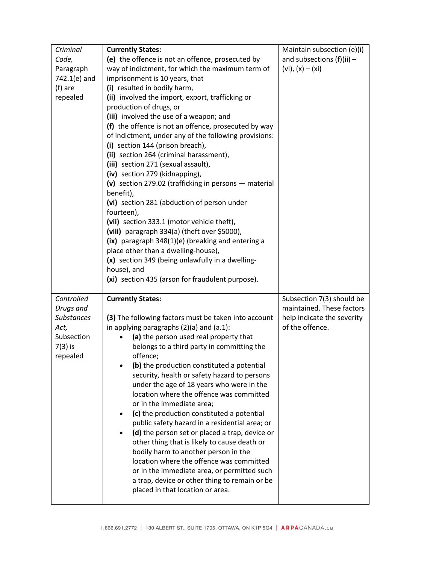| Criminal           | <b>Currently States:</b>                                                                         | Maintain subsection (e)(i)                    |
|--------------------|--------------------------------------------------------------------------------------------------|-----------------------------------------------|
| Code,              | (e) the offence is not an offence, prosecuted by                                                 | and subsections $(f)(ii)$ -                   |
| Paragraph          | way of indictment, for which the maximum term of                                                 | $(vi), (x) - (xi)$                            |
| 742.1(e) and       | imprisonment is 10 years, that                                                                   |                                               |
| (f) are            | (i) resulted in bodily harm,                                                                     |                                               |
| repealed           | (ii) involved the import, export, trafficking or                                                 |                                               |
|                    | production of drugs, or                                                                          |                                               |
|                    | (iii) involved the use of a weapon; and                                                          |                                               |
|                    | (f) the offence is not an offence, prosecuted by way                                             |                                               |
|                    | of indictment, under any of the following provisions:                                            |                                               |
|                    | (i) section 144 (prison breach),                                                                 |                                               |
|                    | (ii) section 264 (criminal harassment),                                                          |                                               |
|                    | (iii) section 271 (sexual assault),                                                              |                                               |
|                    | (iv) section 279 (kidnapping),                                                                   |                                               |
|                    | (v) section 279.02 (trafficking in persons $-$ material                                          |                                               |
|                    | benefit),                                                                                        |                                               |
|                    | (vi) section 281 (abduction of person under                                                      |                                               |
|                    | fourteen),                                                                                       |                                               |
|                    | (vii) section 333.1 (motor vehicle theft),                                                       |                                               |
|                    | (viii) paragraph 334(a) (theft over \$5000),                                                     |                                               |
|                    | (ix) paragraph 348(1)(e) (breaking and entering a                                                |                                               |
|                    | place other than a dwelling-house),                                                              |                                               |
|                    | (x) section 349 (being unlawfully in a dwelling-<br>house), and                                  |                                               |
|                    |                                                                                                  |                                               |
|                    |                                                                                                  |                                               |
|                    | (xi) section 435 (arson for fraudulent purpose).                                                 |                                               |
|                    |                                                                                                  |                                               |
| Controlled         | <b>Currently States:</b>                                                                         | Subsection 7(3) should be                     |
| Drugs and          |                                                                                                  | maintained. These factors                     |
| <b>Substances</b>  | (3) The following factors must be taken into account                                             | help indicate the severity<br>of the offence. |
| Act,<br>Subsection | in applying paragraphs $(2)(a)$ and $(a.1)$ :                                                    |                                               |
|                    | (a) the person used real property that                                                           |                                               |
| $7(3)$ is          | belongs to a third party in committing the                                                       |                                               |
| repealed           | offence;                                                                                         |                                               |
|                    | (b) the production constituted a potential                                                       |                                               |
|                    | security, health or safety hazard to persons                                                     |                                               |
|                    | under the age of 18 years who were in the<br>location where the offence was committed            |                                               |
|                    | or in the immediate area;                                                                        |                                               |
|                    | (c) the production constituted a potential<br>$\bullet$                                          |                                               |
|                    |                                                                                                  |                                               |
|                    | public safety hazard in a residential area; or<br>(d) the person set or placed a trap, device or |                                               |
|                    | other thing that is likely to cause death or                                                     |                                               |
|                    | bodily harm to another person in the                                                             |                                               |
|                    | location where the offence was committed                                                         |                                               |
|                    | or in the immediate area, or permitted such                                                      |                                               |
|                    | a trap, device or other thing to remain or be                                                    |                                               |
|                    | placed in that location or area.                                                                 |                                               |